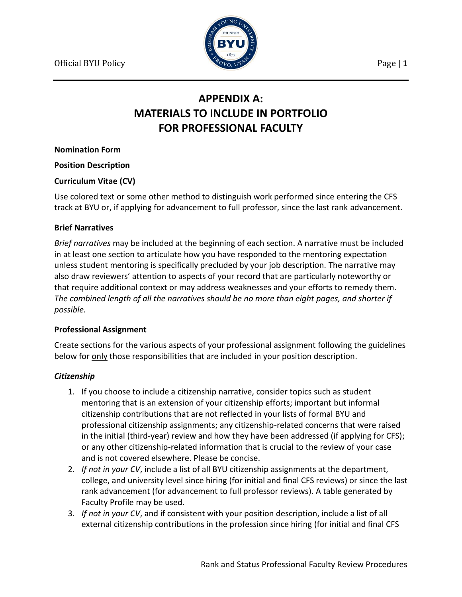

# **APPENDIX A: MATERIALS TO INCLUDE IN PORTFOLIO FOR PROFESSIONAL FACULTY**

**Nomination Form**

**Position Description**

#### **Curriculum Vitae (CV)**

Use colored text or some other method to distinguish work performed since entering the CFS track at BYU or, if applying for advancement to full professor, since the last rank advancement.

#### **Brief Narratives**

*Brief narratives* may be included at the beginning of each section. A narrative must be included in at least one section to articulate how you have responded to the mentoring expectation unless student mentoring is specifically precluded by your job description. The narrative may also draw reviewers' attention to aspects of your record that are particularly noteworthy or that require additional context or may address weaknesses and your efforts to remedy them. *The combined length of all the narratives should be no more than eight pages, and shorter if possible.*

## **Professional Assignment**

Create sections for the various aspects of your professional assignment following the guidelines below for only those responsibilities that are included in your position description.

## *Citizenship*

- 1. If you choose to include a citizenship narrative, consider topics such as student mentoring that is an extension of your citizenship efforts; important but informal citizenship contributions that are not reflected in your lists of formal BYU and professional citizenship assignments; any citizenship-related concerns that were raised in the initial (third-year) review and how they have been addressed (if applying for CFS); or any other citizenship-related information that is crucial to the review of your case and is not covered elsewhere. Please be concise.
- 2. *If not in your CV*, include a list of all BYU citizenship assignments at the department, college, and university level since hiring (for initial and final CFS reviews) or since the last rank advancement (for advancement to full professor reviews). A table generated by Faculty Profile may be used.
- 3. *If not in your CV*, and if consistent with your position description, include a list of all external citizenship contributions in the profession since hiring (for initial and final CFS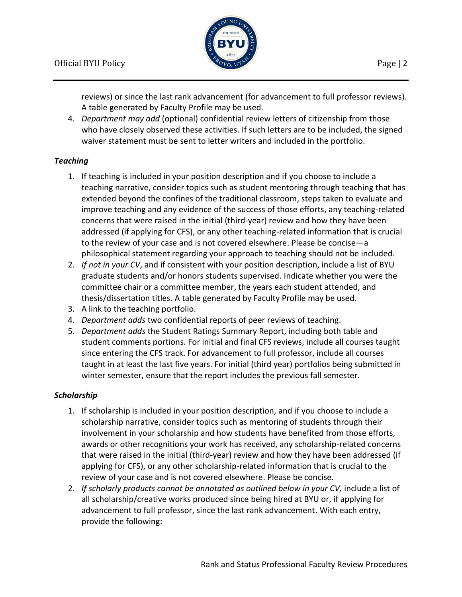

reviews) or since the last rank advancement (for advancement to full professor reviews). A table generated by Faculty Profile may be used.

4. *Department may add* (optional) confidential review letters of citizenship from those who have closely observed these activities. If such letters are to be included, the signed waiver statement must be sent to letter writers and included in the portfolio.

## *Teaching*

- 1. If teaching is included in your position description and if you choose to include a teaching narrative, consider topics such as student mentoring through teaching that has extended beyond the confines of the traditional classroom, steps taken to evaluate and improve teaching and any evidence of the success of those efforts, any teaching-related concerns that were raised in the initial (third-year) review and how they have been addressed (if applying for CFS), or any other teaching-related information that is crucial to the review of your case and is not covered elsewhere. Please be concise—a philosophical statement regarding your approach to teaching should not be included.
- 2. *If not in your CV*, and if consistent with your position description, include a list of BYU graduate students and/or honors students supervised. Indicate whether you were the committee chair or a committee member, the years each student attended, and thesis/dissertation titles. A table generated by Faculty Profile may be used.
- 3. A link to the teaching portfolio.
- 4. *Department adds* two confidential reports of peer reviews of teaching.
- 5. *Department adds* the Student Ratings Summary Report, including both table and student comments portions. For initial and final CFS reviews, include all courses taught since entering the CFS track. For advancement to full professor, include all courses taught in at least the last five years. For initial (third year) portfolios being submitted in winter semester, ensure that the report includes the previous fall semester.

## *Scholarship*

- 1. If scholarship is included in your position description, and if you choose to include a scholarship narrative, consider topics such as mentoring of students through their involvement in your scholarship and how students have benefited from those efforts, awards or other recognitions your work has received, any scholarship-related concerns that were raised in the initial (third-year) review and how they have been addressed (if applying for CFS), or any other scholarship-related information that is crucial to the review of your case and is not covered elsewhere. Please be concise.
- 2. If scholarly products cannot be annotated as outlined below in your CV, include a list of all scholarship/creative works produced since being hired at BYU or, if applying for advancement to full professor, since the last rank advancement. With each entry, provide the following: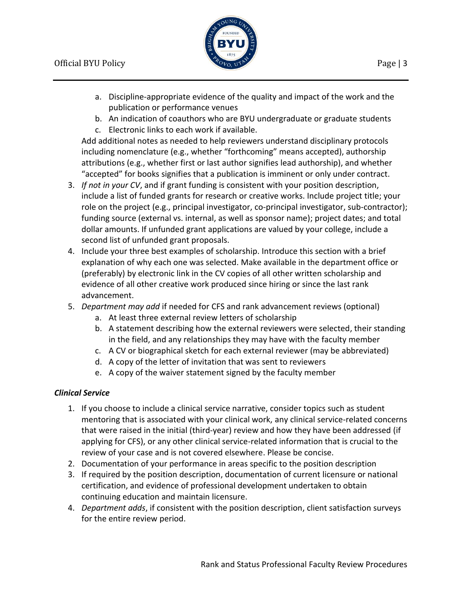

- a. Discipline-appropriate evidence of the quality and impact of the work and the publication or performance venues
- b. An indication of coauthors who are BYU undergraduate or graduate students
- c. Electronic links to each work if available.

Add additional notes as needed to help reviewers understand disciplinary protocols including nomenclature (e.g., whether "forthcoming" means accepted), authorship attributions (e.g., whether first or last author signifies lead authorship), and whether "accepted" for books signifies that a publication is imminent or only under contract.

- 3. *If not in your CV*, and if grant funding is consistent with your position description, include a list of funded grants for research or creative works. Include project title; your role on the project (e.g., principal investigator, co-principal investigator, sub-contractor); funding source (external vs. internal, as well as sponsor name); project dates; and total dollar amounts. If unfunded grant applications are valued by your college, include a second list of unfunded grant proposals.
- 4. Include your three best examples of scholarship. Introduce this section with a brief explanation of why each one was selected. Make available in the department office or (preferably) by electronic link in the CV copies of all other written scholarship and evidence of all other creative work produced since hiring or since the last rank advancement.
- 5. *Department may add* if needed for CFS and rank advancement reviews (optional)
	- a. At least three external review letters of scholarship
	- b. A statement describing how the external reviewers were selected, their standing in the field, and any relationships they may have with the faculty member
	- c. A CV or biographical sketch for each external reviewer (may be abbreviated)
	- d. A copy of the letter of invitation that was sent to reviewers
	- e. A copy of the waiver statement signed by the faculty member

## *Clinical Service*

- 1. If you choose to include a clinical service narrative, consider topics such as student mentoring that is associated with your clinical work, any clinical service-related concerns that were raised in the initial (third-year) review and how they have been addressed (if applying for CFS), or any other clinical service-related information that is crucial to the review of your case and is not covered elsewhere. Please be concise.
- 2. Documentation of your performance in areas specific to the position description
- 3. If required by the position description, documentation of current licensure or national certification, and evidence of professional development undertaken to obtain continuing education and maintain licensure.
- 4. *Department adds*, if consistent with the position description, client satisfaction surveys for the entire review period.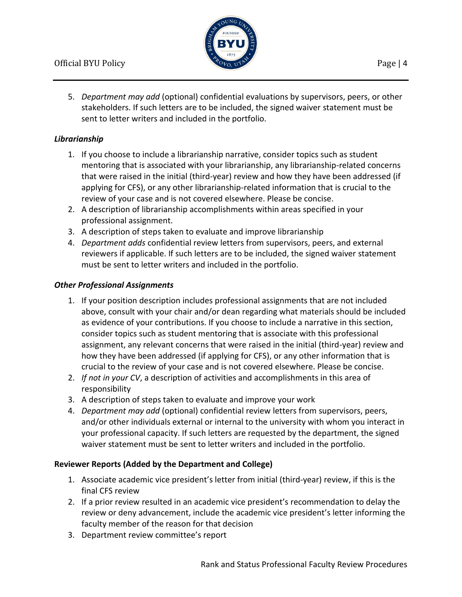

5. *Department may add* (optional) confidential evaluations by supervisors, peers, or other stakeholders. If such letters are to be included, the signed waiver statement must be sent to letter writers and included in the portfolio.

# *Librarianship*

- 1. If you choose to include a librarianship narrative, consider topics such as student mentoring that is associated with your librarianship, any librarianship-related concerns that were raised in the initial (third-year) review and how they have been addressed (if applying for CFS), or any other librarianship-related information that is crucial to the review of your case and is not covered elsewhere. Please be concise.
- 2. A description of librarianship accomplishments within areas specified in your professional assignment.
- 3. A description of steps taken to evaluate and improve librarianship
- 4. *Department adds* confidential review letters from supervisors, peers, and external reviewers if applicable. If such letters are to be included, the signed waiver statement must be sent to letter writers and included in the portfolio.

## *Other Professional Assignments*

- 1. If your position description includes professional assignments that are not included above, consult with your chair and/or dean regarding what materials should be included as evidence of your contributions. If you choose to include a narrative in this section, consider topics such as student mentoring that is associate with this professional assignment, any relevant concerns that were raised in the initial (third-year) review and how they have been addressed (if applying for CFS), or any other information that is crucial to the review of your case and is not covered elsewhere. Please be concise.
- 2. *If not in your CV*, a description of activities and accomplishments in this area of responsibility
- 3. A description of steps taken to evaluate and improve your work
- 4. *Department may add* (optional) confidential review letters from supervisors, peers, and/or other individuals external or internal to the university with whom you interact in your professional capacity. If such letters are requested by the department, the signed waiver statement must be sent to letter writers and included in the portfolio.

## **Reviewer Reports (Added by the Department and College)**

- 1. Associate academic vice president's letter from initial (third-year) review, if this is the final CFS review
- 2. If a prior review resulted in an academic vice president's recommendation to delay the review or deny advancement, include the academic vice president's letter informing the faculty member of the reason for that decision
- 3. Department review committee's report